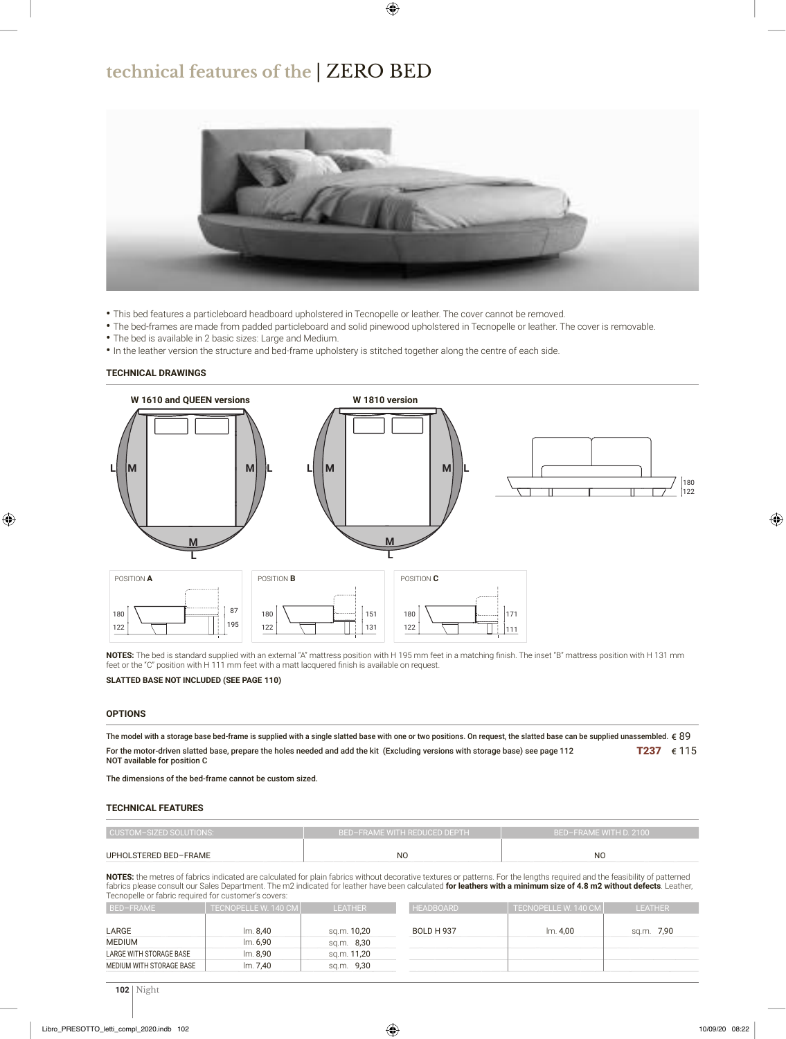### **technical features of the** | ZERO BED



- This bed features a particleboard headboard upholstered in Tecnopelle or leather. The cover cannot be removed.
- The bed-frames are made from padded particleboard and solid pinewood upholstered in Tecnopelle or leather. The cover is removable.
- The bed is available in 2 basic sizes: Large and Medium.
- In the leather version the structure and bed-frame upholstery is stitched together along the centre of each side.

#### **TECHNICAL DRAWINGS**



NOTES: The bed is standard supplied with an external "A" mattress position with H 195 mm feet in a matching finish. The inset "B" mattress position with H 131 mm feet or the "C" position with H 111 mm feet with a matt lacquered finish is available on request.

#### **SLATTED BASE NOT INCLUDED (SEE PAGE 110)**

#### **OPTIONS**

T237  $€ 115$ The model with a storage base bed-frame is supplied with a single slatted base with one or two positions. On request, the slatted base can be supplied unassembled.  $\epsilon$  89 For the motor-driven slatted base, prepare the holes needed and add the kit (Excluding versions with storage base) see page 112 NOT available for position C

The dimensions of the bed-frame cannot be custom sized.

#### **TECHNICAL FEATURES**

| CUSTOM-SIZED SOLUTIONS: | I BED-FRAME WITH REDUCED DEPTH ' | BED-FRAME WITH D. 2100 |  |  |  |
|-------------------------|----------------------------------|------------------------|--|--|--|
| UPHOLSTERED BED-FRAME   | NC                               | NC                     |  |  |  |

**NOTES:** the metres of fabrics indicated are calculated for plain fabrics without decorative textures or patterns. For the lengths required and the feasibility of patterned fabrics please consult our Sales Department. The m2 indicated for leather have been calculated **for leathers with a minimum size of 4.8 m2 without defects**. Leather, Tecnopelle or fabric required for customer's covers:

| BED-FRAME                | LTECNOPELLE W. 140 CM l' | <b>LEATHER</b> | <b>HEADBOARD</b>  | ا TECNOPELLE W. 140 CMI | <b>LEATHER</b> |
|--------------------------|--------------------------|----------------|-------------------|-------------------------|----------------|
| LARGE                    | Im. 8,40                 | sq.m. 10,20    | <b>BOLD H 937</b> | Im. 4.00                | sq.m. 7,90     |
| <b>MEDIUM</b>            | Im. 6.90                 | sq.m. 8,30     |                   |                         |                |
| LARGE WITH STORAGE BASE  | lm. 8,90                 | sq.m. 11,20    |                   |                         |                |
| MEDIUM WITH STORAGE BASE | Im. 7.40                 | sq.m. 9,30     |                   |                         |                |
|                          |                          |                |                   |                         |                |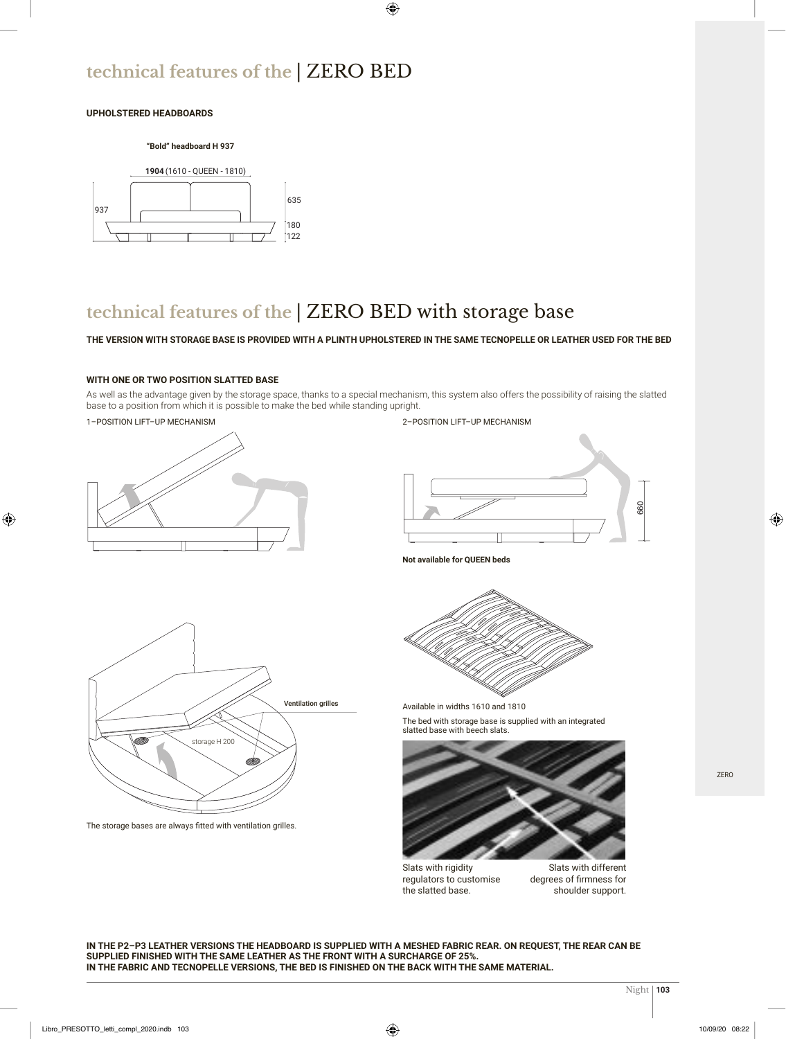## **technical features of the** | ZERO BED

#### **UPHOLSTERED HEADBOARDS**

#### **"Bold" headboard H 937**



### **technical features of the** | ZERO BED with storage base

#### **THE VERSION WITH STORAGE BASE IS PROVIDED WITH A PLINTH UPHOLSTERED IN THE SAME TECNOPELLE OR LEATHER USED FOR THE BED**

#### **WITH ONE OR TWO POSITION SLATTED BASE**

As well as the advantage given by the storage space, thanks to a special mechanism, this system also offers the possibility of raising the slatted base to a position from which it is possible to make the bed while standing upright.

#### 1–POSITION LIFT–UP MECHANISM



#### 2–POSITION LIFT–UP MECHANISM





The storage bases are always fitted with ventilation grilles.

**Not available for QUEEN beds**



Available in widths 1610 and 1810

The bed with storage base is supplied with an integrated slatted base with beech slats.



Slats with rigidity regulators to customise the slatted base.

Slats with different degrees of firmness for shoulder support.

**IN THE P2–P3 LEATHER VERSIONS THE HEADBOARD IS SUPPLIED WITH A MESHED FABRIC REAR. ON REQUEST, THE REAR CAN BE SUPPLIED FINISHED WITH THE SAME LEATHER AS THE FRONT WITH A SURCHARGE OF 25%. IN THE FABRIC AND TECNOPELLE VERSIONS, THE BED IS FINISHED ON THE BACK WITH THE SAME MATERIAL.**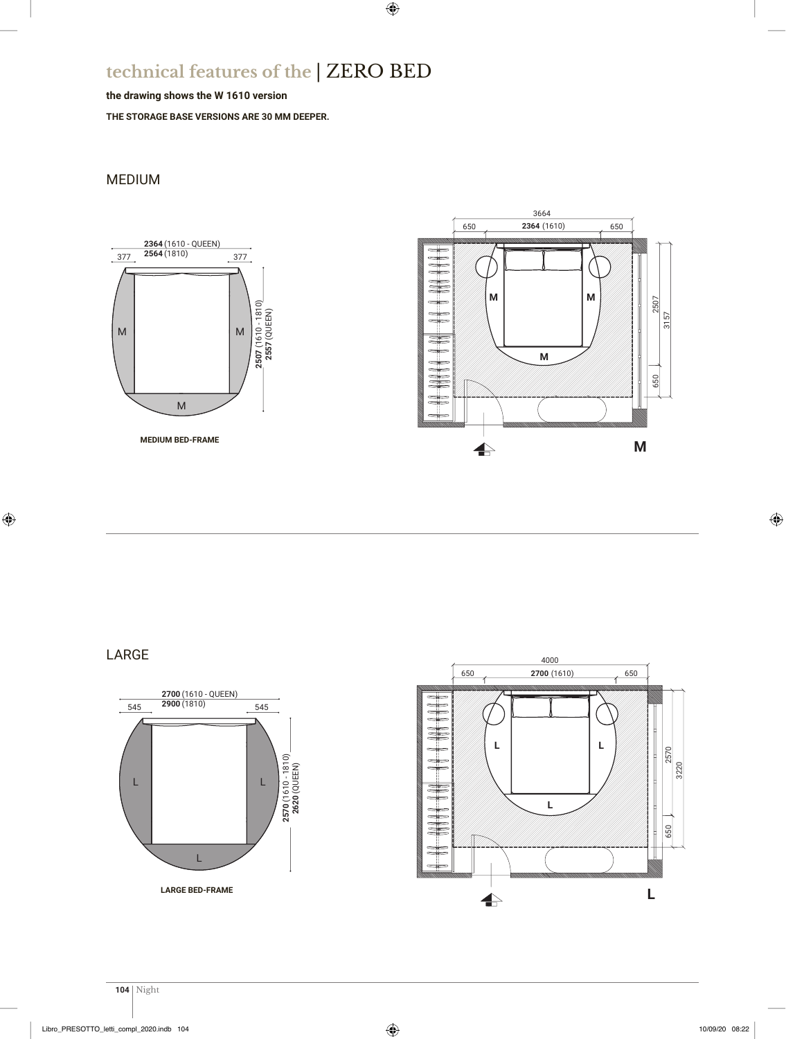## **technical features of the** | ZERO BED

#### **the drawing shows the W 1610 version**

**THE STORAGE BASE VERSIONS ARE 30 MM DEEPER.**

### MEDIUM



LARGE



 $\overline{a}$ 



3510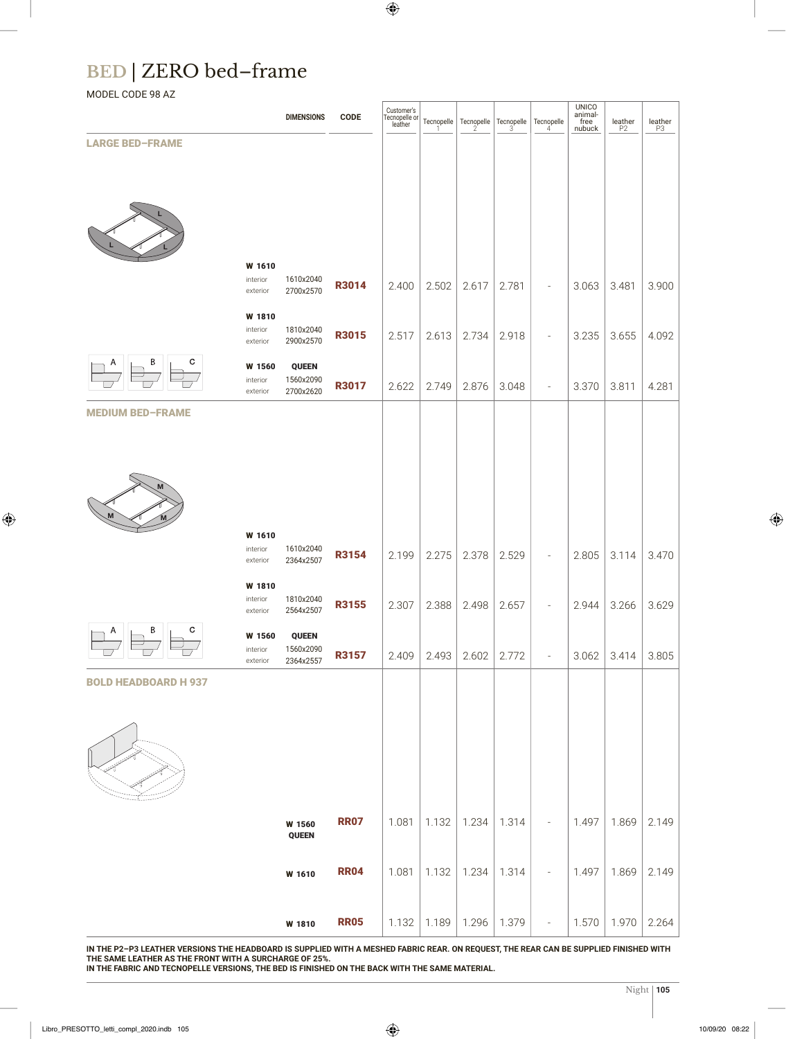# **BED** | ZERO bed–frame

MODEL CODE 98 AZ

|                             |                                | <b>DIMENSIONS</b>         | <b>CODE</b>  | Customer's<br>Tecnopelle or<br>leather |       |       | Tecnopelle Tecnopelle Tecnopelle | Tecnopelle               | UNICO<br>animal-<br>free<br>nubuck | $\underset{\mathsf{P2}}{\mathsf{leather}}$ | $\underset{\mathsf{P3}}{\mathsf{leather}}$ |
|-----------------------------|--------------------------------|---------------------------|--------------|----------------------------------------|-------|-------|----------------------------------|--------------------------|------------------------------------|--------------------------------------------|--------------------------------------------|
| <b>LARGE BED-FRAME</b>      |                                |                           |              |                                        |       |       |                                  |                          |                                    |                                            |                                            |
|                             |                                |                           |              |                                        |       |       |                                  |                          |                                    |                                            |                                            |
|                             |                                |                           |              |                                        |       |       |                                  |                          |                                    |                                            |                                            |
|                             |                                |                           |              |                                        |       |       |                                  |                          |                                    |                                            |                                            |
|                             |                                |                           |              |                                        |       |       |                                  |                          |                                    |                                            |                                            |
|                             | W 1610<br>interior<br>exterior | 1610x2040<br>2700x2570    | R3014        | 2.400                                  | 2.502 | 2.617 | 2.781                            | $\overline{a}$           | 3.063                              | 3.481                                      | 3.900                                      |
|                             | W 1810                         |                           |              |                                        |       |       |                                  |                          |                                    |                                            |                                            |
|                             | interior<br>exterior           | 1810x2040<br>2900x2570    | R3015        | 2.517                                  | 2.613 | 2.734 | 2.918                            | $\overline{a}$           | 3.235                              | 3.655                                      | 4.092                                      |
| $\mathbf{c}$                | W 1560                         | <b>QUEEN</b><br>1560x2090 |              |                                        |       |       |                                  |                          |                                    |                                            |                                            |
|                             | interior<br>exterior           | 2700x2620                 | R3017        | 2.622                                  | 2.749 | 2.876 | 3.048                            | $\overline{\phantom{a}}$ | 3.370                              | 3.811                                      | 4.281                                      |
| <b>MEDIUM BED-FRAME</b>     |                                |                           |              |                                        |       |       |                                  |                          |                                    |                                            |                                            |
|                             |                                |                           |              |                                        |       |       |                                  |                          |                                    |                                            |                                            |
|                             |                                |                           |              |                                        |       |       |                                  |                          |                                    |                                            |                                            |
|                             |                                |                           |              |                                        |       |       |                                  |                          |                                    |                                            |                                            |
|                             | W 1610                         |                           |              |                                        |       |       |                                  |                          |                                    |                                            |                                            |
|                             | interior<br>exterior           | 1610x2040<br>2364x2507    | <b>R3154</b> | 2.199                                  | 2.275 | 2.378 | 2.529                            |                          | 2.805                              | 3.114                                      | 3.470                                      |
|                             | W 1810<br>interior             | 1810x2040                 |              |                                        |       |       |                                  |                          |                                    |                                            |                                            |
|                             | exterior                       | 2564x2507                 | R3155        | 2.307                                  | 2.388 | 2.498 | 2.657                            | $\overline{\phantom{a}}$ | 2.944                              | 3.266                                      | 3.629                                      |
| $\circ$<br>B                | W 1560<br>interior             | <b>QUEEN</b><br>1560x2090 |              |                                        |       |       |                                  |                          |                                    |                                            |                                            |
|                             | exterior                       | 2364x2557                 | R3157        | 2.409                                  | 2.493 | 2.602 | 2.772                            | $\equiv$                 | 3.062                              | 3.414                                      | 3.805                                      |
| <b>BOLD HEADBOARD H 937</b> |                                |                           |              |                                        |       |       |                                  |                          |                                    |                                            |                                            |
|                             |                                |                           |              |                                        |       |       |                                  |                          |                                    |                                            |                                            |
|                             |                                |                           |              |                                        |       |       |                                  |                          |                                    |                                            |                                            |
|                             |                                | W 1560                    | <b>RR07</b>  | 1.081                                  | 1.132 | 1.234 | 1.314                            | $\overline{\phantom{a}}$ | 1.497                              | 1.869                                      | 2.149                                      |
|                             |                                | <b>QUEEN</b>              |              |                                        |       |       |                                  |                          |                                    |                                            |                                            |
|                             |                                | W 1610                    | <b>RR04</b>  | 1.081                                  | 1.132 | 1.234 | 1.314                            | $\overline{\phantom{a}}$ | 1.497                              | 1.869                                      | 2.149                                      |
|                             |                                |                           |              |                                        |       |       |                                  |                          |                                    |                                            |                                            |
|                             |                                | W 1810                    | <b>RR05</b>  | 1.132                                  | 1.189 | 1.296 | 1.379                            | $\equiv$                 | 1.570                              | 1.970                                      | 2.264                                      |

**IN THE P2–P3 LEATHER VERSIONS THE HEADBOARD IS SUPPLIED WITH A MESHED FABRIC REAR. ON REQUEST, THE REAR CAN BE SUPPLIED FINISHED WITH THE SAME LEATHER AS THE FRONT WITH A SURCHARGE OF 25%. IN THE FABRIC AND TECNOPELLE VERSIONS, THE BED IS FINISHED ON THE BACK WITH THE SAME MATERIAL.**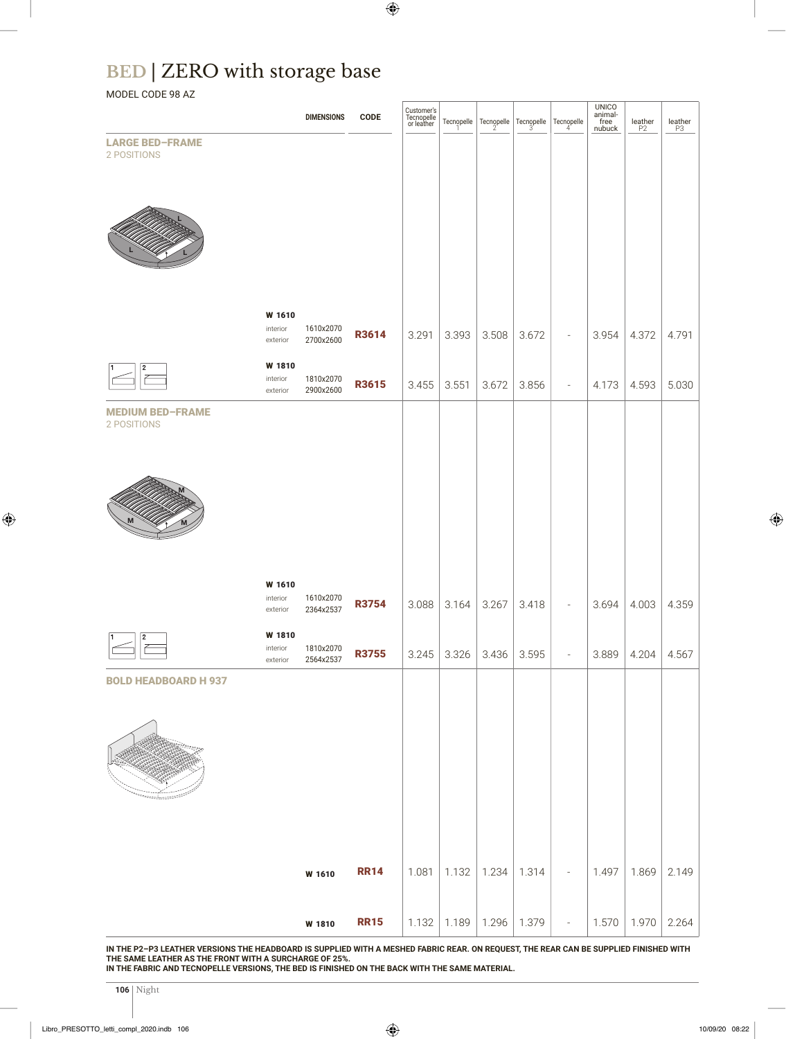# **BED** | ZERO with storage base

### MODEL CODE 98 AZ

|                                       |                                | <b>DIMENSIONS</b>      | <b>CODE</b>  | Customer's<br>Tecnopelle<br>or leather |       | Tecnopelle Tecnopelle Tecnopelle |       | Tecnopelle<br>4          | $\begin{array}{c} \text{UNICO} \\ \text{animal-free} \\ \text{nubuck} \end{array}$ | $\underset{\mathsf{P2}}{\mathsf{leather}}$ | $\underset{\mathsf{P3}}{\mathsf{leather}}$ |
|---------------------------------------|--------------------------------|------------------------|--------------|----------------------------------------|-------|----------------------------------|-------|--------------------------|------------------------------------------------------------------------------------|--------------------------------------------|--------------------------------------------|
| <b>LARGE BED-FRAME</b><br>2 POSITIONS |                                |                        |              |                                        |       |                                  |       |                          |                                                                                    |                                            |                                            |
|                                       |                                |                        |              |                                        |       |                                  |       |                          |                                                                                    |                                            |                                            |
|                                       |                                |                        |              |                                        |       |                                  |       |                          |                                                                                    |                                            |                                            |
|                                       |                                |                        |              |                                        |       |                                  |       |                          |                                                                                    |                                            |                                            |
|                                       |                                |                        |              |                                        |       |                                  |       |                          |                                                                                    |                                            |                                            |
|                                       |                                |                        |              |                                        |       |                                  |       |                          |                                                                                    |                                            |                                            |
|                                       |                                |                        |              |                                        |       |                                  |       |                          |                                                                                    |                                            |                                            |
|                                       | W 1610<br>interior<br>exterior | 1610x2070<br>2700x2600 | R3614        | 3.291                                  | 3.393 | 3.508                            | 3.672 | $\overline{\phantom{a}}$ | 3.954                                                                              | 4.372                                      | 4.791                                      |
|                                       | W 1810                         |                        |              |                                        |       |                                  |       |                          |                                                                                    |                                            |                                            |
| 2                                     | interior<br>exterior           | 1810x2070<br>2900x2600 | R3615        | 3.455                                  | 3.551 | 3.672                            | 3.856 | $\overline{\phantom{a}}$ | 4.173                                                                              | 4.593                                      | 5.030                                      |
| <b>MEDIUM BED-FRAME</b>               |                                |                        |              |                                        |       |                                  |       |                          |                                                                                    |                                            |                                            |
| 2 POSITIONS                           |                                |                        |              |                                        |       |                                  |       |                          |                                                                                    |                                            |                                            |
|                                       |                                |                        |              |                                        |       |                                  |       |                          |                                                                                    |                                            |                                            |
|                                       |                                |                        |              |                                        |       |                                  |       |                          |                                                                                    |                                            |                                            |
| M                                     |                                |                        |              |                                        |       |                                  |       |                          |                                                                                    |                                            |                                            |
|                                       |                                |                        |              |                                        |       |                                  |       |                          |                                                                                    |                                            |                                            |
|                                       |                                |                        |              |                                        |       |                                  |       |                          |                                                                                    |                                            |                                            |
|                                       | W 1610<br>interior<br>exterior | 1610x2070<br>2364x2537 | <b>R3754</b> | 3.088                                  | 3.164 | 3.267                            | 3.418 | $\overline{\phantom{a}}$ | 3.694                                                                              | 4.003                                      | 4.359                                      |
| 2                                     | W 1810                         |                        |              |                                        |       |                                  |       |                          |                                                                                    |                                            |                                            |
|                                       | interior<br>exterior           | 1810x2070<br>2564x2537 | <b>R3755</b> | 3.245                                  | 3.326 | 3.436                            | 3.595 | $\overline{\phantom{a}}$ | 3.889                                                                              | 4.204                                      | 4.567                                      |
| <b>BOLD HEADBOARD H 937</b>           |                                |                        |              |                                        |       |                                  |       |                          |                                                                                    |                                            |                                            |
|                                       |                                |                        |              |                                        |       |                                  |       |                          |                                                                                    |                                            |                                            |
|                                       |                                |                        |              |                                        |       |                                  |       |                          |                                                                                    |                                            |                                            |
|                                       |                                |                        |              |                                        |       |                                  |       |                          |                                                                                    |                                            |                                            |
|                                       |                                |                        |              |                                        |       |                                  |       |                          |                                                                                    |                                            |                                            |
|                                       |                                |                        |              |                                        |       |                                  |       |                          |                                                                                    |                                            |                                            |
|                                       |                                |                        |              |                                        |       |                                  |       |                          |                                                                                    |                                            |                                            |
|                                       |                                | W 1610                 | <b>RR14</b>  | 1.081                                  | 1.132 | 1.234                            | 1.314 | $\overline{\phantom{a}}$ | 1.497                                                                              | 1.869                                      | 2.149                                      |
|                                       |                                |                        |              |                                        |       |                                  |       |                          |                                                                                    |                                            |                                            |
|                                       |                                | W 1810                 | <b>RR15</b>  | 1.132                                  | 1.189 | 1.296                            | 1.379 | $\equiv$                 | 1.570                                                                              | 1.970                                      | 2.264                                      |

**IN THE P2–P3 LEATHER VERSIONS THE HEADBOARD IS SUPPLIED WITH A MESHED FABRIC REAR. ON REQUEST, THE REAR CAN BE SUPPLIED FINISHED WITH THE SAME LEATHER AS THE FRONT WITH A SURCHARGE OF 25%.** 

**IN THE FABRIC AND TECNOPELLE VERSIONS, THE BED IS FINISHED ON THE BACK WITH THE SAME MATERIAL.**